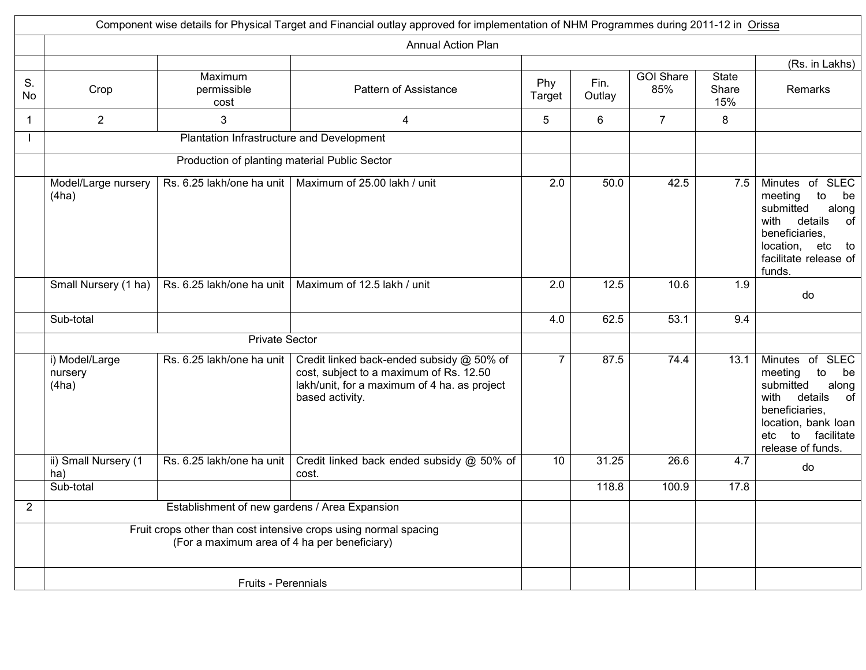|                |                                    |                                               | Component wise details for Physical Target and Financial outlay approved for implementation of NHM Programmes during 2011-12 in Orissa                  |                |                |                         |                              |                                                                                                                                                                                |
|----------------|------------------------------------|-----------------------------------------------|---------------------------------------------------------------------------------------------------------------------------------------------------------|----------------|----------------|-------------------------|------------------------------|--------------------------------------------------------------------------------------------------------------------------------------------------------------------------------|
|                |                                    |                                               | <b>Annual Action Plan</b>                                                                                                                               |                |                |                         |                              |                                                                                                                                                                                |
|                |                                    |                                               |                                                                                                                                                         |                |                |                         |                              | (Rs. in Lakhs)                                                                                                                                                                 |
| S.<br>No       | Crop                               | Maximum<br>permissible<br>cost                | Pattern of Assistance                                                                                                                                   | Phy<br>Target  | Fin.<br>Outlay | <b>GOI Share</b><br>85% | <b>State</b><br>Share<br>15% | Remarks                                                                                                                                                                        |
| -1             | $\overline{2}$                     | 3                                             | $\overline{4}$                                                                                                                                          | 5              | 6              | $7^{\circ}$             | 8                            |                                                                                                                                                                                |
|                |                                    | Plantation Infrastructure and Development     |                                                                                                                                                         |                |                |                         |                              |                                                                                                                                                                                |
|                |                                    | Production of planting material Public Sector |                                                                                                                                                         |                |                |                         |                              |                                                                                                                                                                                |
|                | Model/Large nursery<br>(4ha)       |                                               | Rs. 6.25 lakh/one ha unit   Maximum of 25.00 lakh / unit                                                                                                | 2.0            | 50.0           | 42.5                    | 7.5                          | Minutes of SLEC<br>to<br>meeting<br>be<br>submitted<br>along<br>with<br>details<br>of<br>beneficiaries,<br>location, etc<br>to<br>facilitate release of<br>funds.              |
|                | Small Nursery (1 ha)               |                                               | Rs. 6.25 lakh/one ha unit   Maximum of 12.5 lakh / unit                                                                                                 | 2.0            | 12.5           | 10.6                    | 1.9                          | do                                                                                                                                                                             |
|                | Sub-total                          |                                               |                                                                                                                                                         | 4.0            | 62.5           | 53.1                    | 9.4                          |                                                                                                                                                                                |
|                |                                    | <b>Private Sector</b>                         |                                                                                                                                                         |                |                |                         |                              |                                                                                                                                                                                |
|                | i) Model/Large<br>nursery<br>(4ha) | Rs. 6.25 lakh/one ha unit                     | Credit linked back-ended subsidy @ 50% of<br>cost, subject to a maximum of Rs. 12.50<br>lakh/unit, for a maximum of 4 ha. as project<br>based activity. | $\overline{7}$ | 87.5           | 74.4                    | 13.1                         | Minutes of SLEC<br>to<br>meeting<br>be<br>submitted<br>along<br>details<br>with<br>of<br>beneficiaries,<br>location, bank loan<br>to<br>facilitate<br>etc<br>release of funds. |
|                | ii) Small Nursery (1<br>ha)        | Rs. 6.25 lakh/one ha unit                     | Credit linked back ended subsidy @ 50% of<br>cost.                                                                                                      | 10             | 31.25          | 26.6                    | 4.7                          | do                                                                                                                                                                             |
|                | Sub-total                          |                                               |                                                                                                                                                         |                | 118.8          | 100.9                   | 17.8                         |                                                                                                                                                                                |
| $\overline{2}$ |                                    | Establishment of new gardens / Area Expansion |                                                                                                                                                         |                |                |                         |                              |                                                                                                                                                                                |
|                |                                    | (For a maximum area of 4 ha per beneficiary)  | Fruit crops other than cost intensive crops using normal spacing                                                                                        |                |                |                         |                              |                                                                                                                                                                                |
|                |                                    | <b>Fruits - Perennials</b>                    |                                                                                                                                                         |                |                |                         |                              |                                                                                                                                                                                |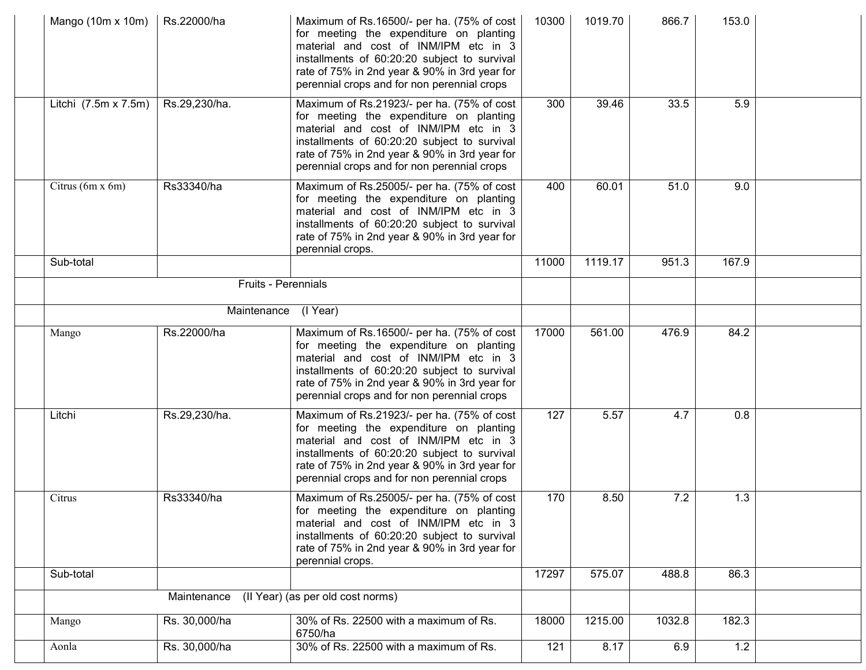| Mango (10m x 10m)    | Rs.22000/ha   | Maximum of Rs.16500/- per ha. (75% of cost<br>for meeting the expenditure on planting<br>material and cost of INM/IPM etc in 3<br>installments of 60:20:20 subject to survival<br>rate of 75% in 2nd year & 90% in 3rd year for<br>perennial crops and for non perennial crops | 10300 | 1019.70 | 866.7  | 153.0 |  |
|----------------------|---------------|--------------------------------------------------------------------------------------------------------------------------------------------------------------------------------------------------------------------------------------------------------------------------------|-------|---------|--------|-------|--|
| Litchi (7.5m x 7.5m) | Rs.29,230/ha. | Maximum of Rs.21923/- per ha. (75% of cost<br>for meeting the expenditure on planting<br>material and cost of INM/IPM etc in 3<br>installments of 60:20:20 subject to survival<br>rate of 75% in 2nd year & 90% in 3rd year for<br>perennial crops and for non perennial crops | 300   | 39.46   | 33.5   | 5.9   |  |
| Citrus (6m x 6m)     | Rs33340/ha    | Maximum of Rs.25005/- per ha. (75% of cost<br>for meeting the expenditure on planting<br>material and cost of INM/IPM etc in 3<br>installments of 60:20:20 subject to survival<br>rate of 75% in 2nd year & 90% in 3rd year for<br>perennial crops.                            | 400   | 60.01   | 51.0   | 9.0   |  |
| Sub-total            |               |                                                                                                                                                                                                                                                                                | 11000 | 1119.17 | 951.3  | 167.9 |  |
|                      |               | Fruits - Perennials                                                                                                                                                                                                                                                            |       |         |        |       |  |
|                      |               | Maintenance (I Year)                                                                                                                                                                                                                                                           |       |         |        |       |  |
| Mango                | Rs.22000/ha   | Maximum of Rs.16500/- per ha. (75% of cost                                                                                                                                                                                                                                     | 17000 | 561.00  | 476.9  | 84.2  |  |
|                      |               | for meeting the expenditure on planting<br>material and cost of INM/IPM etc in 3<br>installments of 60:20:20 subject to survival<br>rate of 75% in 2nd year & 90% in 3rd year for<br>perennial crops and for non perennial crops                                               |       |         |        |       |  |
| Litchi               | Rs.29,230/ha. | Maximum of Rs.21923/- per ha. (75% of cost<br>for meeting the expenditure on planting<br>material and cost of INM/IPM etc in 3<br>installments of 60:20:20 subject to survival<br>rate of 75% in 2nd year & 90% in 3rd year for<br>perennial crops and for non perennial crops | 127   | 5.57    | 4.7    | 0.8   |  |
| Citrus               | Rs33340/ha    | Maximum of Rs.25005/- per ha. (75% of cost<br>for meeting the expenditure on planting<br>material and cost of INM/IPM etc in 3<br>installments of 60:20:20 subject to survival<br>rate of 75% in 2nd year & 90% in 3rd year for<br>perennial crops.                            | 170   | 8.50    | 7.2    | 1.3   |  |
| Sub-total            |               |                                                                                                                                                                                                                                                                                | 17297 | 575.07  | 488.8  | 86.3  |  |
|                      | Maintenance   | (II Year) (as per old cost norms)                                                                                                                                                                                                                                              |       |         |        |       |  |
| Mango                | Rs. 30,000/ha | 30% of Rs. 22500 with a maximum of Rs.<br>6750/ha                                                                                                                                                                                                                              | 18000 | 1215.00 | 1032.8 | 182.3 |  |
| Aonla                | Rs. 30,000/ha | 30% of Rs. 22500 with a maximum of Rs.                                                                                                                                                                                                                                         | 121   | 8.17    | 6.9    | 1.2   |  |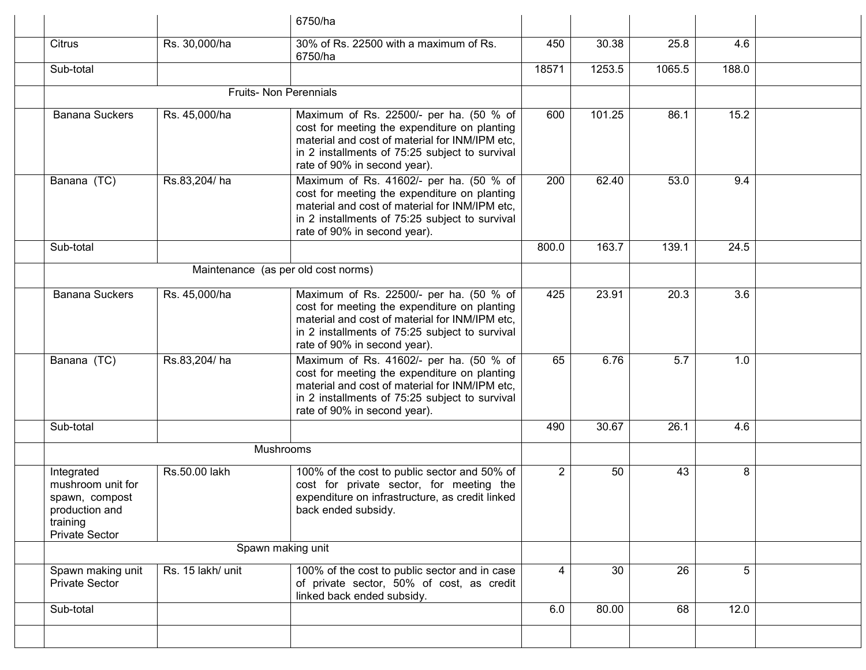|                                                                                                          |                   | 6750/ha                                                                                                                                                                                                                     |                |        |        |       |  |
|----------------------------------------------------------------------------------------------------------|-------------------|-----------------------------------------------------------------------------------------------------------------------------------------------------------------------------------------------------------------------------|----------------|--------|--------|-------|--|
| Citrus                                                                                                   | Rs. 30,000/ha     | 30% of Rs. 22500 with a maximum of Rs.<br>6750/ha                                                                                                                                                                           | 450            | 30.38  | 25.8   | 4.6   |  |
| Sub-total                                                                                                |                   |                                                                                                                                                                                                                             | 18571          | 1253.5 | 1065.5 | 188.0 |  |
|                                                                                                          |                   | <b>Fruits- Non Perennials</b>                                                                                                                                                                                               |                |        |        |       |  |
| <b>Banana Suckers</b>                                                                                    | Rs. 45,000/ha     | Maximum of Rs. 22500/- per ha. (50 % of<br>cost for meeting the expenditure on planting<br>material and cost of material for INM/IPM etc.<br>in 2 installments of 75:25 subject to survival<br>rate of 90% in second year). | 600            | 101.25 | 86.1   | 15.2  |  |
| Banana (TC)                                                                                              | Rs.83,204/ha      | Maximum of Rs. 41602/- per ha. (50 % of<br>cost for meeting the expenditure on planting<br>material and cost of material for INM/IPM etc.<br>in 2 installments of 75:25 subject to survival<br>rate of 90% in second year). | 200            | 62.40  | 53.0   | 9.4   |  |
| Sub-total                                                                                                |                   |                                                                                                                                                                                                                             | 800.0          | 163.7  | 139.1  | 24.5  |  |
|                                                                                                          |                   | Maintenance (as per old cost norms)                                                                                                                                                                                         |                |        |        |       |  |
| <b>Banana Suckers</b>                                                                                    | Rs. 45,000/ha     | Maximum of Rs. 22500/- per ha. (50 % of<br>cost for meeting the expenditure on planting<br>material and cost of material for INM/IPM etc,<br>in 2 installments of 75:25 subject to survival<br>rate of 90% in second year). | 425            | 23.91  | 20.3   | 3.6   |  |
| Banana (TC)                                                                                              | Rs.83,204/ha      | Maximum of Rs. 41602/- per ha. (50 % of<br>cost for meeting the expenditure on planting<br>material and cost of material for INM/IPM etc,<br>in 2 installments of 75:25 subject to survival<br>rate of 90% in second year). | 65             | 6.76   | 5.7    | 1.0   |  |
| Sub-total                                                                                                |                   |                                                                                                                                                                                                                             | 490            | 30.67  | 26.1   | 4.6   |  |
|                                                                                                          |                   | Mushrooms                                                                                                                                                                                                                   |                |        |        |       |  |
| Integrated<br>mushroom unit for<br>spawn, compost<br>production and<br>training<br><b>Private Sector</b> | Rs.50.00 lakh     | 100% of the cost to public sector and 50% of<br>cost for private sector, for meeting the<br>expenditure on infrastructure, as credit linked<br>back ended subsidy.                                                          | $\overline{2}$ | 50     | 43     | 8     |  |
|                                                                                                          |                   | Spawn making unit                                                                                                                                                                                                           |                |        |        |       |  |
| Spawn making unit<br><b>Private Sector</b>                                                               | Rs. 15 lakh/ unit | 100% of the cost to public sector and in case<br>of private sector, 50% of cost, as credit<br>linked back ended subsidy.                                                                                                    | 4              | 30     | 26     | 5     |  |
| Sub-total                                                                                                |                   |                                                                                                                                                                                                                             | 6.0            | 80.00  | 68     | 12.0  |  |
|                                                                                                          |                   |                                                                                                                                                                                                                             |                |        |        |       |  |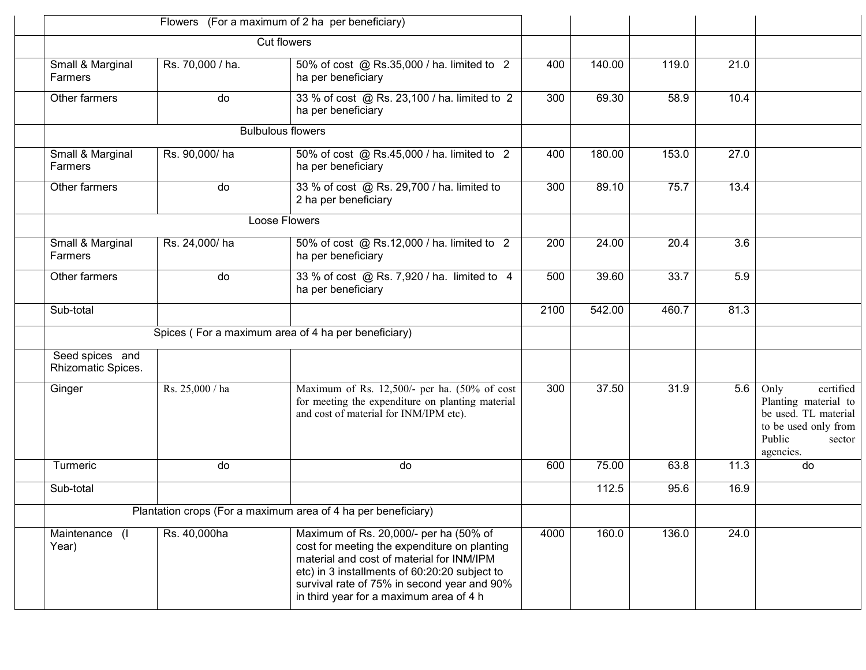|                                       |                  | Flowers (For a maximum of 2 ha per beneficiary)                                                                                                                                                                                                                                |      |        |       |      |                                                                                                                            |
|---------------------------------------|------------------|--------------------------------------------------------------------------------------------------------------------------------------------------------------------------------------------------------------------------------------------------------------------------------|------|--------|-------|------|----------------------------------------------------------------------------------------------------------------------------|
|                                       |                  | <b>Cut flowers</b>                                                                                                                                                                                                                                                             |      |        |       |      |                                                                                                                            |
| Small & Marginal<br><b>Farmers</b>    | Rs. 70,000 / ha. | 50% of cost @ Rs.35,000 / ha. limited to 2<br>ha per beneficiary                                                                                                                                                                                                               | 400  | 140.00 | 119.0 | 21.0 |                                                                                                                            |
| Other farmers                         | do               | 33 % of cost @ Rs. 23,100 / ha. limited to 2<br>ha per beneficiary                                                                                                                                                                                                             | 300  | 69.30  | 58.9  | 10.4 |                                                                                                                            |
|                                       |                  | <b>Bulbulous flowers</b>                                                                                                                                                                                                                                                       |      |        |       |      |                                                                                                                            |
| Small & Marginal<br>Farmers           | Rs. 90,000/ha    | 50% of cost @ Rs.45,000 / ha. limited to 2<br>ha per beneficiary                                                                                                                                                                                                               | 400  | 180.00 | 153.0 | 27.0 |                                                                                                                            |
| Other farmers                         | do               | 33 % of cost @ Rs. 29,700 / ha. limited to<br>2 ha per beneficiary                                                                                                                                                                                                             | 300  | 89.10  | 75.7  | 13.4 |                                                                                                                            |
|                                       |                  | Loose Flowers                                                                                                                                                                                                                                                                  |      |        |       |      |                                                                                                                            |
| Small & Marginal<br><b>Farmers</b>    | Rs. 24,000/ha    | 50% of cost @ Rs.12,000 / ha. limited to 2<br>ha per beneficiary                                                                                                                                                                                                               | 200  | 24.00  | 20.4  | 3.6  |                                                                                                                            |
| Other farmers                         | do               | 33 % of cost @ Rs. 7,920 / ha. limited to 4<br>ha per beneficiary                                                                                                                                                                                                              | 500  | 39.60  | 33.7  | 5.9  |                                                                                                                            |
| Sub-total                             |                  |                                                                                                                                                                                                                                                                                | 2100 | 542.00 | 460.7 | 81.3 |                                                                                                                            |
|                                       |                  | Spices (For a maximum area of 4 ha per beneficiary)                                                                                                                                                                                                                            |      |        |       |      |                                                                                                                            |
| Seed spices and<br>Rhizomatic Spices. |                  |                                                                                                                                                                                                                                                                                |      |        |       |      |                                                                                                                            |
| Ginger                                | Rs. 25,000 / ha  | Maximum of Rs. 12,500/- per ha. (50% of cost<br>for meeting the expenditure on planting material<br>and cost of material for INM/IPM etc).                                                                                                                                     | 300  | 37.50  | 31.9  | 5.6  | Only<br>certified<br>Planting material to<br>be used. TL material<br>to be used only from<br>Public<br>sector<br>agencies. |
| Turmeric                              | do               | do                                                                                                                                                                                                                                                                             | 600  | 75.00  | 63.8  | 11.3 | do                                                                                                                         |
| Sub-total                             |                  |                                                                                                                                                                                                                                                                                |      | 112.5  | 95.6  | 16.9 |                                                                                                                            |
|                                       |                  | Plantation crops (For a maximum area of 4 ha per beneficiary)                                                                                                                                                                                                                  |      |        |       |      |                                                                                                                            |
| Maintenance (I<br>Year)               | Rs. 40,000ha     | Maximum of Rs. 20,000/- per ha (50% of<br>cost for meeting the expenditure on planting<br>material and cost of material for INM/IPM<br>etc) in 3 installments of 60:20:20 subject to<br>survival rate of 75% in second year and 90%<br>in third year for a maximum area of 4 h | 4000 | 160.0  | 136.0 | 24.0 |                                                                                                                            |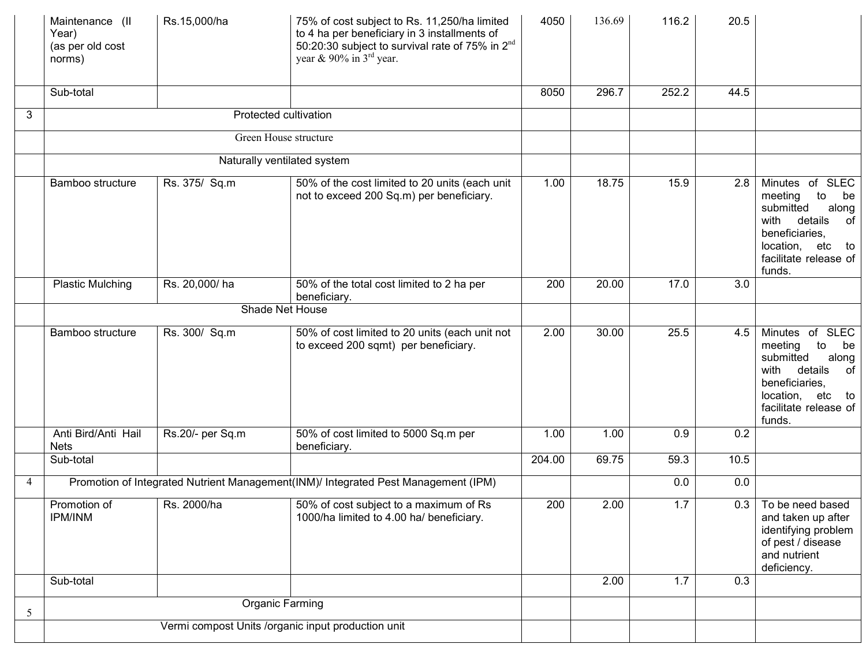|   | Maintenance (II<br>Year)<br>(as per old cost<br>norms) | Rs.15,000/ha                                       | 75% of cost subject to Rs. 11,250/ha limited<br>to 4 ha per beneficiary in 3 installments of<br>50:20:30 subject to survival rate of 75% in 2 <sup>nd</sup><br>year & 90% in $3^{rd}$ year. | 4050   | 136.69 | 116.2 | 20.5 |                                                                                                                                                                      |
|---|--------------------------------------------------------|----------------------------------------------------|---------------------------------------------------------------------------------------------------------------------------------------------------------------------------------------------|--------|--------|-------|------|----------------------------------------------------------------------------------------------------------------------------------------------------------------------|
|   | Sub-total                                              |                                                    |                                                                                                                                                                                             | 8050   | 296.7  | 252.2 | 44.5 |                                                                                                                                                                      |
| 3 |                                                        |                                                    | Protected cultivation                                                                                                                                                                       |        |        |       |      |                                                                                                                                                                      |
|   |                                                        |                                                    | Green House structure                                                                                                                                                                       |        |        |       |      |                                                                                                                                                                      |
|   |                                                        |                                                    | Naturally ventilated system                                                                                                                                                                 |        |        |       |      |                                                                                                                                                                      |
|   | Bamboo structure                                       | Rs. 375/ Sq.m                                      | 50% of the cost limited to 20 units (each unit<br>not to exceed 200 Sq.m) per beneficiary.                                                                                                  | 1.00   | 18.75  | 15.9  | 2.8  | Minutes of SLEC<br>meeting<br>to<br>be<br>submitted<br>along<br>details<br>with<br>of<br>beneficiaries,<br>location, etc to<br>facilitate release of<br>funds.       |
|   | <b>Plastic Mulching</b>                                | Rs. 20,000/ha                                      | 50% of the total cost limited to 2 ha per<br>beneficiary.                                                                                                                                   | 200    | 20.00  | 17.0  | 3.0  |                                                                                                                                                                      |
|   |                                                        |                                                    | Shade Net House                                                                                                                                                                             |        |        |       |      |                                                                                                                                                                      |
|   | Bamboo structure                                       | Rs. 300/ Sq.m                                      | 50% of cost limited to 20 units (each unit not<br>to exceed 200 sqmt) per beneficiary.                                                                                                      | 2.00   | 30.00  | 25.5  | 4.5  | Minutes of SLEC<br>meeting<br>to<br>be<br>submitted<br>along<br>details<br>with<br>0f<br>beneficiaries,<br>location,<br>etc<br>to<br>facilitate release of<br>funds. |
|   | Anti Bird/Anti Hail<br><b>Nets</b>                     | Rs.20/- per Sq.m                                   | 50% of cost limited to 5000 Sq.m per<br>beneficiary.                                                                                                                                        | 1.00   | 1.00   | 0.9   | 0.2  |                                                                                                                                                                      |
|   | Sub-total                                              |                                                    |                                                                                                                                                                                             | 204.00 | 69.75  | 59.3  | 10.5 |                                                                                                                                                                      |
| 4 |                                                        |                                                    | Promotion of Integrated Nutrient Management(INM)/ Integrated Pest Management (IPM)                                                                                                          |        |        | 0.0   | 0.0  |                                                                                                                                                                      |
|   | Promotion of<br><b>IPM/INM</b>                         | Rs. 2000/ha                                        | 50% of cost subject to a maximum of Rs<br>1000/ha limited to 4.00 ha/ beneficiary.                                                                                                          | 200    | 2.00   | 1.7   |      | 0.3   To be need based<br>and taken up after<br>identifying problem<br>of pest / disease<br>and nutrient<br>deficiency.                                              |
|   | Sub-total                                              |                                                    |                                                                                                                                                                                             |        | 2.00   | 1.7   | 0.3  |                                                                                                                                                                      |
| 5 |                                                        |                                                    | Organic Farming                                                                                                                                                                             |        |        |       |      |                                                                                                                                                                      |
|   |                                                        | Vermi compost Units /organic input production unit |                                                                                                                                                                                             |        |        |       |      |                                                                                                                                                                      |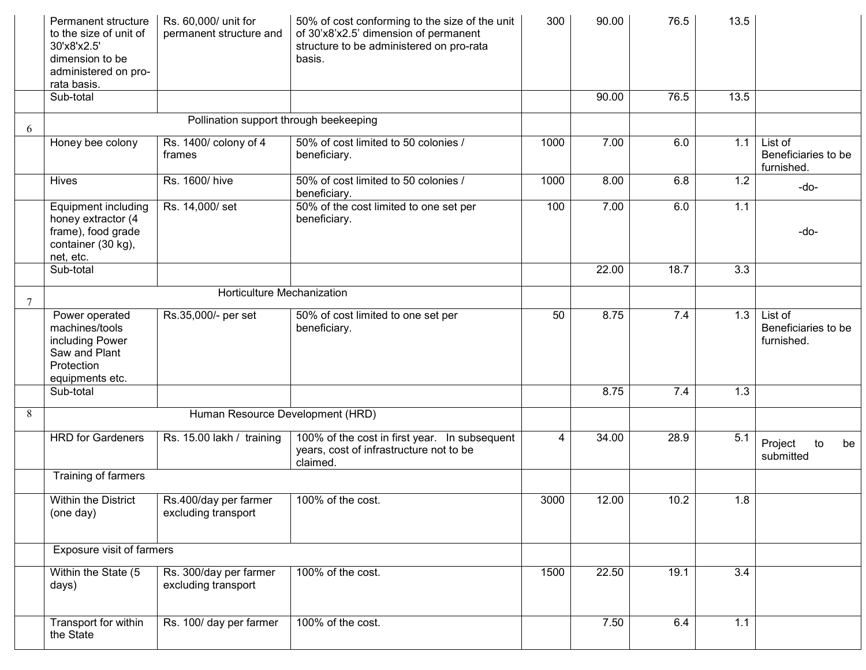|   | Permanent structure<br>to the size of unit of<br>30'x8'x2.5'<br>dimension to be<br>administered on pro-<br>rata basis. | Rs. 60,000/ unit for<br>permanent structure and | 50% of cost conforming to the size of the unit<br>of 30'x8'x2.5' dimension of permanent<br>structure to be administered on pro-rata<br>basis. | 300  | 90.00 | 76.5 | 13.5             |                                              |
|---|------------------------------------------------------------------------------------------------------------------------|-------------------------------------------------|-----------------------------------------------------------------------------------------------------------------------------------------------|------|-------|------|------------------|----------------------------------------------|
|   | Sub-total                                                                                                              |                                                 |                                                                                                                                               |      | 90.00 | 76.5 | 13.5             |                                              |
| 6 |                                                                                                                        | Pollination support through beekeeping          |                                                                                                                                               |      |       |      |                  |                                              |
|   | Honey bee colony                                                                                                       | Rs. 1400/ colony of 4<br>frames                 | 50% of cost limited to 50 colonies /<br>beneficiary.                                                                                          | 1000 | 7.00  | 6.0  | 1.1              | List of<br>Beneficiaries to be<br>furnished. |
|   | <b>Hives</b>                                                                                                           | Rs. 1600/ hive                                  | 50% of cost limited to 50 colonies /<br>beneficiary.                                                                                          | 1000 | 8.00  | 6.8  | 1.2              | -do-                                         |
|   | Equipment including<br>honey extractor (4<br>frame), food grade<br>container (30 kg),<br>net, etc.                     | Rs. 14,000/set                                  | 50% of the cost limited to one set per<br>beneficiary.                                                                                        | 100  | 7.00  | 6.0  | 1.1              | -do-                                         |
|   | Sub-total                                                                                                              |                                                 |                                                                                                                                               |      | 22.00 | 18.7 | $\overline{3.3}$ |                                              |
| 7 |                                                                                                                        | Horticulture Mechanization                      |                                                                                                                                               |      |       |      |                  |                                              |
|   | Power operated<br>machines/tools<br>including Power<br>Saw and Plant<br>Protection<br>equipments etc.                  | Rs.35,000/- per set                             | 50% of cost limited to one set per<br>beneficiary.                                                                                            | 50   | 8.75  | 7.4  | 1.3              | List of<br>Beneficiaries to be<br>furnished. |
|   | Sub-total                                                                                                              |                                                 |                                                                                                                                               |      | 8.75  | 7.4  | 1.3              |                                              |
| 8 |                                                                                                                        | Human Resource Development (HRD)                |                                                                                                                                               |      |       |      |                  |                                              |
|   | <b>HRD</b> for Gardeners                                                                                               | Rs. 15.00 lakh / training                       | 100% of the cost in first year. In subsequent<br>years, cost of infrastructure not to be<br>claimed.                                          | 4    | 34.00 | 28.9 | 5.1              | Project<br>to<br>be<br>submitted             |
|   | Training of farmers                                                                                                    |                                                 |                                                                                                                                               |      |       |      |                  |                                              |
|   | Within the District<br>(one day)                                                                                       | Rs.400/day per farmer<br>excluding transport    | 100% of the cost.                                                                                                                             | 3000 | 12.00 | 10.2 | 1.8              |                                              |
|   | Exposure visit of farmers                                                                                              |                                                 |                                                                                                                                               |      |       |      |                  |                                              |
|   | Within the State (5<br>days)                                                                                           | Rs. 300/day per farmer<br>excluding transport   | 100% of the cost.                                                                                                                             | 1500 | 22.50 | 19.1 | 3.4              |                                              |
|   | Transport for within<br>the State                                                                                      | Rs. 100/ day per farmer                         | 100% of the cost.                                                                                                                             |      | 7.50  | 6.4  | $1.1$            |                                              |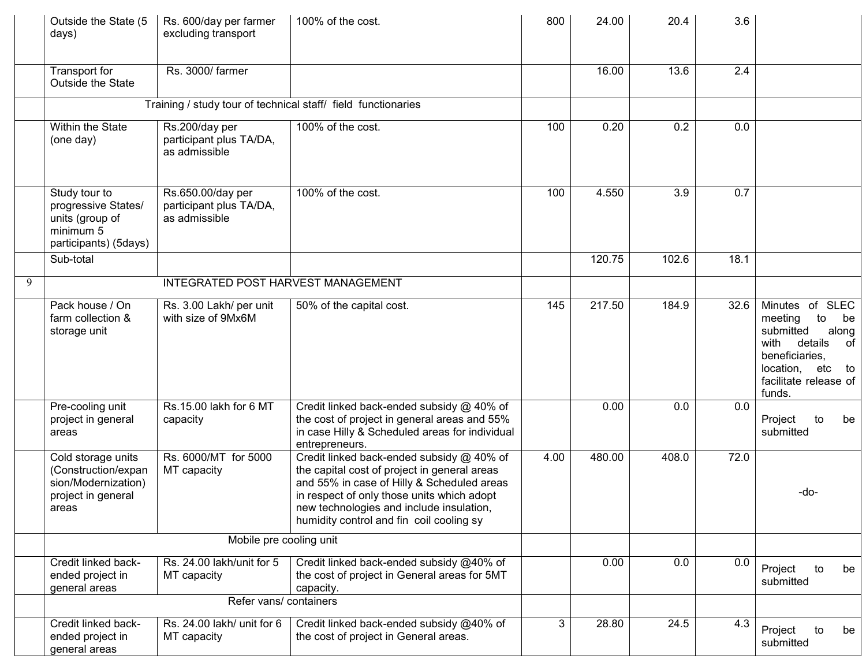|   | Outside the State (5<br>days)                                                                   | Rs. 600/day per farmer<br>excluding transport                 | 100% of the cost.                                                                                                                                                                                                                                                             | 800  | 24.00  | 20.4  | 3.6  |                                                                                                                                                                      |
|---|-------------------------------------------------------------------------------------------------|---------------------------------------------------------------|-------------------------------------------------------------------------------------------------------------------------------------------------------------------------------------------------------------------------------------------------------------------------------|------|--------|-------|------|----------------------------------------------------------------------------------------------------------------------------------------------------------------------|
|   | Transport for<br>Outside the State                                                              | Rs. 3000/ farmer                                              |                                                                                                                                                                                                                                                                               |      | 16.00  | 13.6  | 2.4  |                                                                                                                                                                      |
|   |                                                                                                 |                                                               | Training / study tour of technical staff/ field functionaries                                                                                                                                                                                                                 |      |        |       |      |                                                                                                                                                                      |
|   | Within the State<br>(one day)                                                                   | Rs.200/day per<br>participant plus TA/DA,<br>as admissible    | 100% of the cost.                                                                                                                                                                                                                                                             | 100  | 0.20   | 0.2   | 0.0  |                                                                                                                                                                      |
|   | Study tour to<br>progressive States/<br>units (group of<br>minimum 5<br>participants) (5days)   | Rs.650.00/day per<br>participant plus TA/DA,<br>as admissible | 100% of the cost.                                                                                                                                                                                                                                                             | 100  | 4.550  | 3.9   | 0.7  |                                                                                                                                                                      |
|   | Sub-total                                                                                       |                                                               |                                                                                                                                                                                                                                                                               |      | 120.75 | 102.6 | 18.1 |                                                                                                                                                                      |
| 9 |                                                                                                 | INTEGRATED POST HARVEST MANAGEMENT                            |                                                                                                                                                                                                                                                                               |      |        |       |      |                                                                                                                                                                      |
|   | Pack house / On<br>farm collection &<br>storage unit                                            | Rs. 3.00 Lakh/ per unit<br>with size of 9Mx6M                 | 50% of the capital cost.                                                                                                                                                                                                                                                      | 145  | 217.50 | 184.9 | 32.6 | Minutes of SLEC<br>meeting<br>to<br>be<br>submitted<br>along<br>details<br>with<br>of<br>beneficiaries,<br>location,<br>etc<br>to<br>facilitate release of<br>funds. |
|   | Pre-cooling unit<br>project in general<br>areas                                                 | Rs.15.00 lakh for 6 MT<br>capacity                            | Credit linked back-ended subsidy @ 40% of<br>the cost of project in general areas and 55%<br>in case Hilly & Scheduled areas for individual<br>entrepreneurs.                                                                                                                 |      | 0.00   | 0.0   | 0.0  | Project<br>to<br>be<br>submitted                                                                                                                                     |
|   | Cold storage units<br>(Construction/expan<br>sion/Modernization)<br>project in general<br>areas | Rs. 6000/MT for 5000<br>MT capacity                           | Credit linked back-ended subsidy @ 40% of<br>the capital cost of project in general areas<br>and 55% in case of Hilly & Scheduled areas<br>in respect of only those units which adopt<br>new technologies and include insulation,<br>humidity control and fin coil cooling sy | 4.00 | 480.00 | 408.0 | 72.0 | -do-                                                                                                                                                                 |
|   |                                                                                                 | Mobile pre cooling unit                                       |                                                                                                                                                                                                                                                                               |      |        |       |      |                                                                                                                                                                      |
|   | Credit linked back-<br>ended project in<br>general areas                                        | Rs. 24.00 lakh/unit for 5<br>MT capacity                      | Credit linked back-ended subsidy @40% of<br>the cost of project in General areas for 5MT<br>capacity.                                                                                                                                                                         |      | 0.00   | 0.0   | 0.0  | Project<br>to<br>be<br>submitted                                                                                                                                     |
|   |                                                                                                 | Refer vans/ containers                                        |                                                                                                                                                                                                                                                                               |      |        |       |      |                                                                                                                                                                      |
|   | Credit linked back-<br>ended project in<br>general areas                                        | Rs. 24.00 lakh/ unit for 6<br>MT capacity                     | Credit linked back-ended subsidy @40% of<br>the cost of project in General areas.                                                                                                                                                                                             | 3    | 28.80  | 24.5  | 4.3  | Project<br>to<br>be<br>submitted                                                                                                                                     |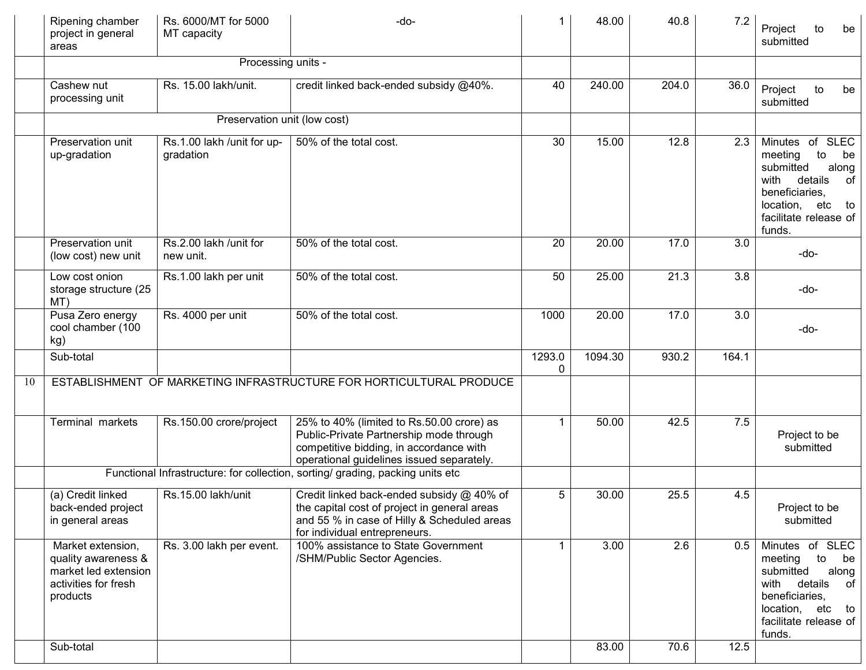|    | Ripening chamber<br>project in general<br>areas                                                      | Rs. 6000/MT for 5000<br>MT capacity     | -do-                                                                                                                                                                         |             | 48.00   | 40.8  | 7.2   | Project<br>be<br>to<br>submitted                                                                                                                                            |
|----|------------------------------------------------------------------------------------------------------|-----------------------------------------|------------------------------------------------------------------------------------------------------------------------------------------------------------------------------|-------------|---------|-------|-------|-----------------------------------------------------------------------------------------------------------------------------------------------------------------------------|
|    |                                                                                                      | Processing units -                      |                                                                                                                                                                              |             |         |       |       |                                                                                                                                                                             |
|    | Cashew nut<br>processing unit                                                                        | Rs. 15.00 lakh/unit.                    | credit linked back-ended subsidy @40%.                                                                                                                                       | 40          | 240.00  | 204.0 | 36.0  | Project<br>to<br>be<br>submitted                                                                                                                                            |
|    |                                                                                                      | Preservation unit (low cost)            |                                                                                                                                                                              |             |         |       |       |                                                                                                                                                                             |
|    | Preservation unit<br>up-gradation                                                                    | Rs.1.00 lakh /unit for up-<br>gradation | 50% of the total cost.                                                                                                                                                       | 30          | 15.00   | 12.8  | 2.3   | <b>SLEC</b><br>Minutes of<br>meeting<br>to<br>be<br>submitted<br>along<br>details<br>with<br>of<br>beneficiaries,<br>location, etc<br>to<br>facilitate release of<br>funds. |
|    | Preservation unit<br>(low cost) new unit                                                             | Rs.2.00 lakh /unit for<br>new unit.     | 50% of the total cost.                                                                                                                                                       | 20          | 20.00   | 17.0  | 3.0   | -do-                                                                                                                                                                        |
|    | Low cost onion<br>storage structure (25<br>MT)                                                       | Rs.1.00 lakh per unit                   | 50% of the total cost.                                                                                                                                                       | 50          | 25.00   | 21.3  | 3.8   | -do-                                                                                                                                                                        |
|    | Pusa Zero energy<br>cool chamber (100<br>kg)                                                         | Rs. 4000 per unit                       | 50% of the total cost.                                                                                                                                                       | 1000        | 20.00   | 17.0  | 3.0   | -do-                                                                                                                                                                        |
|    | Sub-total                                                                                            |                                         |                                                                                                                                                                              | 1293.0<br>0 | 1094.30 | 930.2 | 164.1 |                                                                                                                                                                             |
| 10 |                                                                                                      |                                         | ESTABLISHMENT OF MARKETING INFRASTRUCTURE FOR HORTICULTURAL PRODUCE                                                                                                          |             |         |       |       |                                                                                                                                                                             |
|    | Terminal markets                                                                                     | Rs.150.00 crore/project                 | 25% to 40% (limited to Rs.50.00 crore) as<br>Public-Private Partnership mode through<br>competitive bidding, in accordance with<br>operational guidelines issued separately. | $\mathbf 1$ | 50.00   | 42.5  | 7.5   | Project to be<br>submitted                                                                                                                                                  |
|    |                                                                                                      |                                         | Functional Infrastructure: for collection, sorting/ grading, packing units etc                                                                                               |             |         |       |       |                                                                                                                                                                             |
|    | (a) Credit linked<br>back-ended project<br>in general areas                                          | Rs.15.00 lakh/unit                      | Credit linked back-ended subsidy @ 40% of<br>the capital cost of project in general areas<br>and 55 % in case of Hilly & Scheduled areas<br>for individual entrepreneurs.    | 5           | 30.00   | 25.5  | 4.5   | Project to be<br>submitted                                                                                                                                                  |
|    | Market extension,<br>quality awareness &<br>market led extension<br>activities for fresh<br>products | Rs. 3.00 lakh per event.                | 100% assistance to State Government<br>/SHM/Public Sector Agencies.                                                                                                          |             | 3.00    | 2.6   | 0.5   | Minutes of SLEC<br>to<br>meeting<br>be<br>submitted<br>along<br>details<br>with<br>of<br>beneficiaries,<br>location, etc to<br>facilitate release of<br>funds.              |
|    | Sub-total                                                                                            |                                         |                                                                                                                                                                              |             | 83.00   | 70.6  | 12.5  |                                                                                                                                                                             |